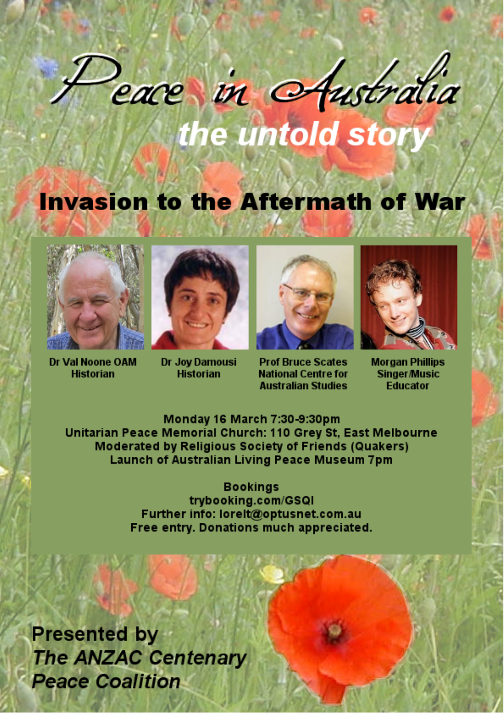## cace in Australia the untold story

## **Invasion to the Aftermath of War**



Dr Val Noone OAM **Historian** 



Dr Joy Damousi **Historian** 



**Prof Bruce Scates National Centre for Australian Studies** 



**Morgan Phillips Singer/Music Fducator** 

Monday 16 March 7:30-9:30pm Unitarian Peace Memorial Church: 110 Grey St. East Melbourne Moderated by Religious Society of Friends (Quakers) **Launch of Australian Living Peace Museum 7pm** 

> **Bookings** trybooking.com/GSQI Further info: lorelt@optusnet.com.au Free entry. Donations much appreciated.

**Presented by The ANZAC Centenary Peace Coalition**